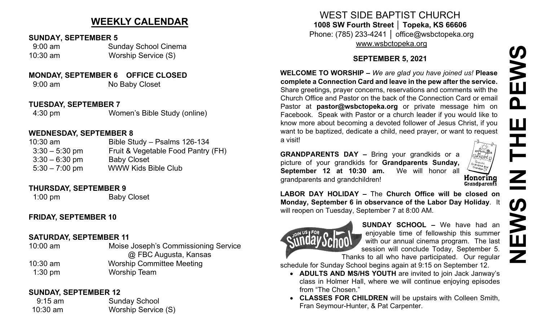## **WEEKLY CALENDAR**

#### **SUNDAY, SEPTEMBER 5**

 9:00 am Sunday School Cinema 10:30 am Worship Service (S)

### **MONDAY, SEPTEMBER 6 OFFICE CLOSED**

9:00 am No Baby Closet

#### **TUESDAY, SEPTEMBER 7**

4:30 pm Women's Bible Study (online)

### **WEDNESDAY, SEPTEMBER 8**

| $10:30$ am       | Bible Study - Psalms 126-134       |
|------------------|------------------------------------|
| $3:30 - 5:30$ pm | Fruit & Vegetable Food Pantry (FH) |
| $3:30 - 6:30$ pm | <b>Baby Closet</b>                 |
| $5:30 - 7:00$ pm | <b>WWW Kids Bible Club</b>         |

#### **THURSDAY, SEPTEMBER 9**

1:00 pm Baby Closet

## **FRIDAY, SEPTEMBER 10**

## **SATURDAY, SEPTEMBER 11**

10:00 am Moise Joseph's Commissioning Service @ FBC Augusta, Kansas 10:30 am Worship Committee Meeting 1:30 pm Worship Team

### **SUNDAY, SEPTEMBER 12**

9:15 am Sunday School 10:30 am Worship Service (S)

# WEST SIDE BAPTIST CHURCH **1008 SW Fourth Street │ Topeka, KS 66606** Phone: (785) 233-4241 │ office@wsbctopeka.org

[www.wsbctopeka.org](http://www.wsbctopeka.org/)

## **SEPTEMBER 5, 2021**

**WELCOME TO WORSHIP –** *We are glad you have joined us!* **Please complete a Connection Card and leave in the pew after the service.** Share greetings, prayer concerns, reservations and comments with the Church Office and Pastor on the back of the Connection Card or email Pastor at **pastor@wsbctopeka.org** or private message him on Facebook. [S](https://www.facebook.com/ivangreuter.)peak with Pastor or a church leader if you would like to know more about becoming a devoted follower of Jesus Christ, if you want to be baptized, dedicate a child, need prayer, or want to request a visit!

**GRANDPARENTS DAY –** Bring your grandkids or a picture of your grandkids for **Grandparents Sunday, September 12 at 10:30 am.** We will honor all **Honoring**<br>Grandparents grandparents and grandchildren!



**LABOR DAY HOLIDAY –** The **Church Office will be closed on Monday, September 6 in observance of the Labor Day Holiday**. It will reopen on Tuesday, September 7 at 8:00 AM.



**SUNDAY SCHOOL –** We have had an enjoyable time of fellowship this summer with our annual cinema program. The last session will conclude Today, September 5. Thanks to all who have participated. Our regular

schedule for Sunday School begins again at 9:15 on September 12.

- **ADULTS AND MS/HS YOUTH** are invited to join Jack Janway's class in Holmer Hall, where we will continue enjoying episodes from "The Chosen."
- **CLASSES FOR CHILDREN** will be upstairs with Colleen Smith, Fran Seymour-Hunter, & Pat Carpenter.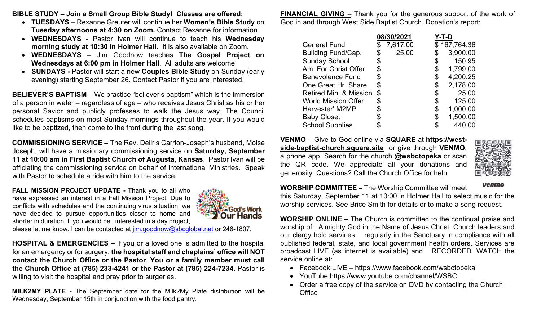**BIBLE STUDY – Join a Small Group Bible Study! Classes are offered:** 

- **TUESDAYS** Rexanne Greuter will continue her **Women's Bible Study** on **Tuesday afternoons at 4:30 on Zoom.** Contact Rexanne for information.
- **WEDNESDAYS** Pastor Ivan will continue to teach his **Wednesday morning study at 10:30 in Holmer Hall.** It is also available on Zoom.
- **WEDNESDAYS**  Jim Goodnow teaches **The Gospel Project on Wednesdays at 6:00 pm in Holmer Hall**. All adults are welcome!
- **SUNDAYS -** Pastor will start a new **Couples Bible Study** on Sunday (early evening) starting September 26. Contact Pastor if you are interested.

**BELIEVER'S BAPTISM** – We practice "believer's baptism" which is the immersion of a person in water – regardless of age – who receives Jesus Christ as his or her personal Savior and publicly professes to walk the Jesus way. The Council schedules baptisms on most Sunday mornings throughout the year. If you would like to be baptized, then come to the front during the last song.

**COMMISSIONING SERVICE –** The Rev. Deliris Carrion-Joseph's husband, Moise Joseph, will have a missionary commissioning service on **Saturday, September 11 at 10:00 am in First Baptist Church of Augusta, Kansas**. Pastor Ivan will be officiating the commissioning service on behalf of International Ministries. Speak with Pastor to schedule a ride with him to the service.

**FALL MISSION PROJECT UPDATE - Thank you to all who** have expressed an interest in a Fall Mission Project. Due to conflicts with schedules and the continuing virus situation, we have decided to pursue opportunities closer to home and shorter in duration. If you would be interested in a day project,



please let me know. I can be contacted at [jim.goodnow@sbcglobal.net](mailto:jim.goodnow@sbcglobal.net) or 246-1807.

**HOSPITAL & EMERGENCIES –** If you or a loved one is admitted to the hospital for an emergency or for surgery, **the hospital staff and chaplains' office will NOT contact the Church Office or the Pastor**. **You or a family member must call the Church Office at (785) 233-4241 or the Pastor at (785) 224-7234**. Pastor is willing to visit the hospital and pray prior to surgeries.

**MILK2MY PLATE -** The September date for the Milk2My Plate distribution will be Wednesday, September 15th in conjunction with the food pantry.

**FINANCIAL GIVING** – Thank you for the generous support of the work of God in and through West Side Baptist Church. Donation's report:

|                            | 08/30/2021 |          | Y-T-D |              |
|----------------------------|------------|----------|-------|--------------|
| <b>General Fund</b>        |            | 7,617.00 |       | \$167,764.36 |
| <b>Building Fund/Cap.</b>  | \$         | 25.00    |       | 3,900.00     |
| <b>Sunday School</b>       | \$         |          | \$    | 150.95       |
| Am. For Christ Offer       | S          |          | \$    | 1,799.00     |
| <b>Benevolence Fund</b>    | \$         |          | \$    | 4,200.25     |
| One Great Hr. Share        | \$         |          |       | 2,178.00     |
| Retired Min. & Mission     | \$         |          |       | 25.00        |
| <b>World Mission Offer</b> | S          |          |       | 125.00       |
| Harvester' M2MP            |            |          | \$    | 1,000.00     |
| <b>Baby Closet</b>         |            |          |       | 1,500.00     |
| <b>School Supplies</b>     |            |          |       | 440.00       |

**VENMO –** Give to God online via **SQUARE** at **[https://west](https://west-side-baptist-church.square.site/)side-baptist-[church.square.site](https://west-side-baptist-church.square.site/)** or give through **VENMO**, a phone app. Search for the church **@wsbctopeka** or scan the QR code. We appreciate all your donations and generosity. Questions? Call the Church Office for help.



venmo

**WORSHIP COMMITTEE –** The Worship Committee will meet this Saturday, September 11 at 10:00 in Holmer Hall to select music for the

worship services. See Brice Smith for details or to make a song request.

**WORSHIP ONLINE –** The Church is committed to the continual praise and worship of Almighty God in the Name of Jesus Christ. Church leaders and our clergy hold services regularly in the Sanctuary in compliance with all published federal, state, and local government health orders. Services are broadcast LIVE (as internet is available) and RECORDED. WATCH the service online at:

- Facebook LIVE https://www.facebook.com/wsbctopeka
- YouTube https://www.youtube.com/channel/WSBC
- Order a free copy of the service on DVD by contacting the Church **Office**